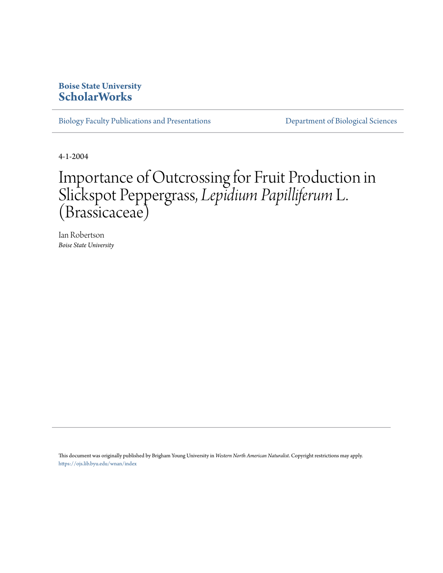## **Boise State University [ScholarWorks](https://scholarworks.boisestate.edu)**

[Biology Faculty Publications and Presentations](https://scholarworks.boisestate.edu/bio_facpubs) **[Department of Biological Sciences](https://scholarworks.boisestate.edu/biosciences)** 

4-1-2004

## Importance of Outcrossing for Fruit Production in Slickspot Peppergrass, *Lepidium Papilliferum*L. (Brassicaceae)

Ian Robertson *Boise State University*

This document was originally published by Brigham Young University in *Western North American Naturalist*. Copyright restrictions may apply. <https://ojs.lib.byu.edu/wnan/index>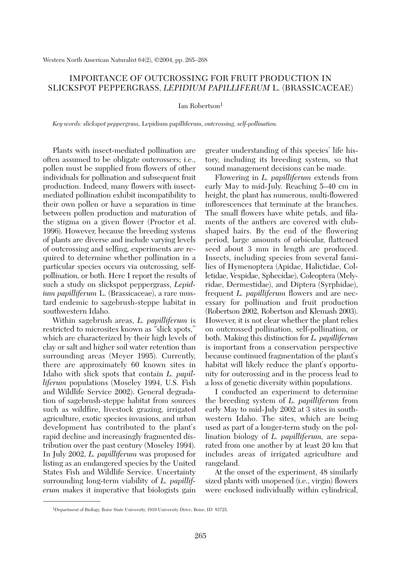## IMPORTANCE OF OUTCROSSING FOR FRUIT PRODUCTION IN SLICKSPOT PEPPERGRASS, *LEPIDIUM PAPILLIFERUM* L. (BRASSICACEAE)

Ian Robertson1

*Key words: slickspot peppergrass,* Lepidium papilliferum, *outcrossing, self-pollination.*

Plants with insect-mediated pollination are often assumed to be obligate outcrossers; i.e., pollen must be supplied from flowers of other individuals for pollination and subsequent fruit production. Indeed, many flowers with insectmediated pollination exhibit incompatibility to their own pollen or have a separation in time between pollen production and maturation of the stigma on a given flower (Proctor et al. 1996). However, because the breeding systems of plants are diverse and include varying levels of outcrossing and selfing, experiments are required to determine whether pollination in a particular species occurs via outcrossing, selfpollination, or both. Here I report the results of such a study on slickspot peppergrass, *Lepidium papilliferum* L. (Brassicaceae), a rare mustard endemic to sagebrush-steppe habitat in southwestern Idaho.

Within sagebrush areas, *L. papilliferum* is restricted to microsites known as "slick spots," which are characterized by their high levels of clay or salt and higher soil water retention than surrounding areas (Meyer 1995). Currently, there are approximately 60 known sites in Idaho with slick spots that contain *L. papilliferum* populations (Moseley 1994, U.S. Fish and Wildlife Service 2002). General degradation of sagebrush-steppe habitat from sources such as wildfire, livestock grazing, irrigated agriculture, exotic species invasions, and urban development has contributed to the plant's rapid decline and increasingly fragmented distribution over the past century (Moseley 1994). In July 2002, *L. papilliferum* was proposed for listing as an endangered species by the United States Fish and Wildlife Service. Uncertainty surrounding long-term viability of *L. papilliferum* makes it imperative that biologists gain greater understanding of this species' life history, including its breeding system, so that sound management decisions can be made.

Flowering in *L. papilliferum* extends from early May to mid-July. Reaching 5–40 cm in height, the plant has numerous, multi-flowered inflorescences that terminate at the branches. The small flowers have white petals, and filaments of the anthers are covered with clubshaped hairs. By the end of the flowering period, large amounts of orbicular, flattened seed about 3 mm in length are produced. Insects, including species from several families of Hymenoptera (Apidae, Halictidae, Colletidae, Vespidae, Sphecidae), Coleoptera (Melyridae, Dermestidae), and Diptera (Syrphidae), frequent *L. papilliferum* flowers and are necessary for pollination and fruit production (Robertson 2002, Robertson and Klemash 2003). However, it is not clear whether the plant relies on outcrossed pollination, self-pollination, or both. Making this distinction for *L. papilliferum* is important from a conservation perspective because continued fragmentation of the plant's habitat will likely reduce the plant's opportunity for outcrossing and in the process lead to a loss of genetic diversity within populations.

I conducted an experiment to determine the breeding system of *L. papilliferum* from early May to mid-July 2002 at 3 sites in southwestern Idaho. The sites, which are being used as part of a longer-term study on the pollination biology of *L. papilliferum,* are separated from one another by at least 20 km that includes areas of irrigated agriculture and rangeland.

At the onset of the experiment, 48 similarly sized plants with unopened (i.e., virgin) flowers were enclosed individually within cylindrical,

<sup>1</sup>Department of Biology, Boise State University, 1910 University Drive, Boise, ID 83725.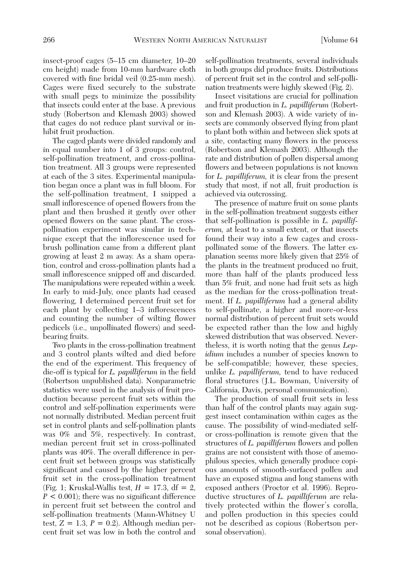insect-proof cages (5–15 cm diameter, 10–20 cm height) made from 10-mm hardware cloth covered with fine bridal veil (0.25-mm mesh). Cages were fixed securely to the substrate with small pegs to minimize the possibility that insects could enter at the base. A previous study (Robertson and Klemash 2003) showed that cages do not reduce plant survival or inhibit fruit production.

The caged plants were divided randomly and in equal number into 1 of 3 groups: control, self-pollination treatment, and cross-pollination treatment. All 3 groups were represented at each of the 3 sites. Experimental manipulation began once a plant was in full bloom. For the self-pollination treatment, I snipped a small inflorescence of opened flowers from the plant and then brushed it gently over other opened flowers on the same plant. The crosspollination experiment was similar in technique except that the inflorescence used for brush pollination came from a different plant growing at least 2 m away. As a sham operation, control and cross-pollination plants had a small inflorescence snipped off and discarded. The manipulations were repeated within a week. In early to mid-July, once plants had ceased flowering, I determined percent fruit set for each plant by collecting 1–3 inflorescences and counting the number of wilting flower pedicels (i.e., unpollinated flowers) and seedbearing fruits.

Two plants in the cross-pollination treatment and 3 control plants wilted and died before the end of the experiment. This frequency of die-off is typical for *L. papilliferum* in the field (Robertson unpublished data). Nonparametric statistics were used in the analysis of fruit production because percent fruit sets within the control and self-pollination experiments were not normally distributed. Median percent fruit set in control plants and self-pollination plants was 0% and 5%, respectively. In contrast, median percent fruit set in cross-pollinated plants was 40%. The overall difference in percent fruit set between groups was statistically significant and caused by the higher percent fruit set in the cross-pollination treatment (Fig. 1; Kruskal-Wallis test,  $H = 17.3$ ,  $df = 2$ , *P* < 0.001); there was no significant difference in percent fruit set between the control and self-pollination treatments (Mann-Whitney U test,  $Z = 1.3$ ,  $P = 0.2$ ). Although median percent fruit set was low in both the control and self-pollination treatments, several individuals in both groups did produce fruits. Distributions of percent fruit set in the control and self-pollination treatments were highly skewed (Fig. 2).

Insect visitations are crucial for pollination and fruit production in *L. papilliferum* (Robertson and Klemash 2003). A wide variety of insects are commonly observed flying from plant to plant both within and between slick spots at a site, contacting many flowers in the process (Robertson and Klemash 2003). Although the rate and distribution of pollen dispersal among flowers and between populations is not known for *L. papilliferum,* it is clear from the present study that most, if not all, fruit production is achieved via outcrossing.

The presence of mature fruit on some plants in the self-pollination treatment suggests either that self-pollination is possible in *L. papilliferum,* at least to a small extent, or that insects found their way into a few cages and crosspollinated some of the flowers. The latter explanation seems more likely given that 25% of the plants in the treatment produced no fruit, more than half of the plants produced less than 5% fruit, and none had fruit sets as high as the median for the cross-pollination treatment. If *L. papilliferum* had a general ability to self-pollinate, a higher and more-or-less normal distribution of percent fruit sets would be expected rather than the low and highly skewed distribution that was observed. Nevertheless, it is worth noting that the genus *Lepidium* includes a number of species known to be self-compatible; however, these species, unlike *L. papilliferum,* tend to have reduced floral structures (J.L. Bowman, University of California, Davis, personal communication).

The production of small fruit sets in less than half of the control plants may again suggest insect contamination within cages as the cause. The possibility of wind-mediated selfor cross-pollination is remote given that the structures of *L. papilliferum* flowers and pollen grains are not consistent with those of anemophilous species, which generally produce copious amounts of smooth-surfaced pollen and have an exposed stigma and long stamens with exposed anthers (Proctor et al. 1996). Reproductive structures of *L. papilliferum* are relatively protected within the flower's corolla, and pollen production in this species could not be described as copious (Robertson personal observation).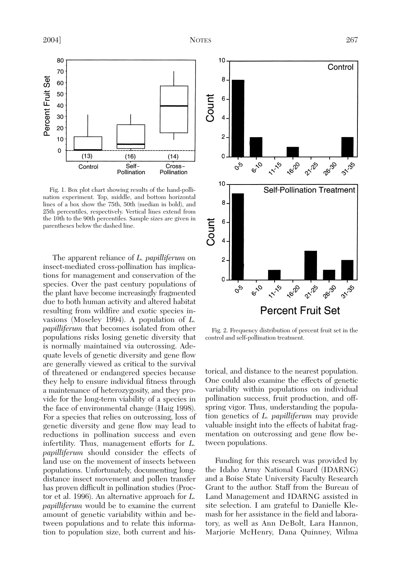

Fig. 1. Box plot chart showing results of the hand-pollination experiment. Top, middle, and bottom horizontal lines of a box show the 75th, 50th (median in bold), and 25th percentiles, respectively. Vertical lines extend from the 10th to the 90th percentiles. Sample sizes are given in parentheses below the dashed line.

The apparent reliance of *L. papilliferum* on insect-mediated cross-pollination has implications for management and conservation of the species. Over the past century populations of the plant have become increasingly fragmented due to both human activity and altered habitat resulting from wildfire and exotic species invasions (Moseley 1994). A population of *L. papilliferum* that becomes isolated from other populations risks losing genetic diversity that is normally maintained via outcrossing. Adequate levels of genetic diversity and gene flow are generally viewed as critical to the survival of threatened or endangered species because they help to ensure individual fitness through a maintenance of heterozygosity, and they provide for the long-term viability of a species in the face of environmental change (Haig 1998). For a species that relies on outcrossing, loss of genetic diversity and gene flow may lead to reductions in pollination success and even infertility. Thus, management efforts for *L. papilliferum* should consider the effects of land use on the movement of insects between populations. Unfortunately, documenting longdistance insect movement and pollen transfer has proven difficult in pollination studies (Proctor et al. 1996). An alternative approach for *L. papilliferum* would be to examine the current amount of genetic variability within and between populations and to relate this information to population size, both current and his-



Fig. 2. Frequency distribution of percent fruit set in the control and self-pollination treatment.

torical, and distance to the nearest population. One could also examine the effects of genetic variability within populations on individual pollination success, fruit production, and offspring vigor. Thus, understanding the population genetics of *L. papilliferum* may provide valuable insight into the effects of habitat fragmentation on outcrossing and gene flow between populations.

Funding for this research was provided by the Idaho Army National Guard (IDARNG) and a Boise State University Faculty Research Grant to the author. Staff from the Bureau of Land Management and IDARNG assisted in site selection. I am grateful to Danielle Klemash for her assistance in the field and laboratory, as well as Ann DeBolt, Lara Hannon, Marjorie McHenry, Dana Quinney, Wilma